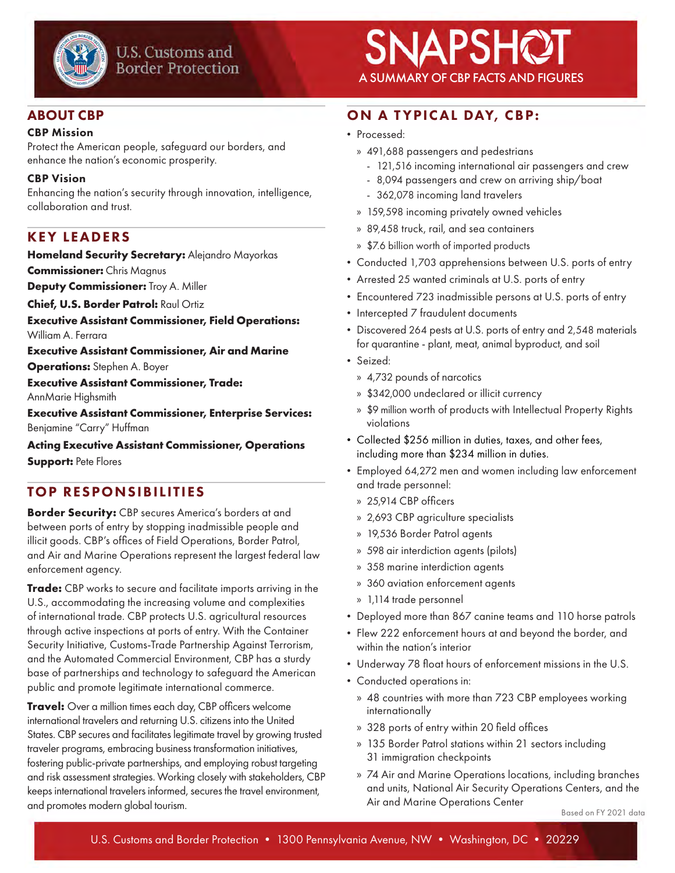

#### ABOUT CBP

#### CBP Mission

Protect the American people, safeguard our borders, and enhance the nation's economic prosperity.

#### CBP Vision

Enhancing the nation's security through innovation, intelligence, collaboration and trust.

## KEY LEADERS

**Homeland Security Secretary:** Alejandro Mayorkas

**Commissioner:** Chris Magnus

**Deputy Commissioner:** Troy A. Miller

**Chief, U.S. Border Patrol:** Raul Ortiz

**Executive Assistant Commissioner, Field Operations:** William A. Ferrara

**Executive Assistant Commissioner, Air and Marine** 

**Operations:** Stephen A. Boyer

**Executive Assistant Commissioner, Trade:**  AnnMarie Highsmith

**Executive Assistant Commissioner, Enterprise Services:** Benjamine "Carry" Huffman

**Acting Executive Assistant Commissioner, Operations** 

**Support:** Pete Flores

## TOP RESPONSIBILITIES

**Border Security:** CBP secures America's borders at and between ports of entry by stopping inadmissible people and illicit goods. CBP's offices of Field Operations, Border Patrol, and Air and Marine Operations represent the largest federal law enforcement agency.

**Trade:** CBP works to secure and facilitate imports arriving in the U.S., accommodating the increasing volume and complexities of international trade. CBP protects U.S. agricultural resources through active inspections at ports of entry. With the Container Security Initiative, Customs-Trade Partnership Against Terrorism, and the Automated Commercial Environment, CBP has a sturdy base of partnerships and technology to safeguard the American public and promote legitimate international commerce.

**Travel:** Over a million times each day, CBP officers welcome international travelers and returning U.S. citizens into the United States. CBP secures and facilitates legitimate travel by growing trusted traveler programs, embracing business transformation initiatives, fostering public-private partnerships, and employing robust targeting and risk assessment strategies. Working closely with stakeholders, CBP keeps international travelers informed, secures the travel environment, and promotes modern global tourism.

# $S$ NAPSHQT

# ON A TYPICAL DAY, CBP:

- Processed:
	- » 491,688 passengers and pedestrians
		- 121,516 incoming international air passengers and crew
		- 8,094 passengers and crew on arriving ship/boat
		- 362,078 incoming land travelers
	- » 159,598 incoming privately owned vehicles
	- » 89,458 truck, rail, and sea containers
	- » \$7.6 billion worth of imported products
- Conducted 1,703 apprehensions between U.S. ports of entry
- Arrested 25 wanted criminals at U.S. ports of entry
- Encountered 723 inadmissible persons at U.S. ports of entry
- Intercepted 7 fraudulent documents
- Discovered 264 pests at U.S. ports of entry and 2,548 materials for quarantine - plant, meat, animal byproduct, and soil
- Seized:
	- » 4,732 pounds of narcotics
	- » \$342,000 undeclared or illicit currency
	- » \$9 million worth of products with Intellectual Property Rights violations
- Collected \$256 million in duties, taxes, and other fees, including more than \$234 million in duties.
- Employed 64,272 men and women including law enforcement and trade personnel:
	- » 25,914 CBP officers
	- » 2,693 CBP agriculture specialists
	- » 19,536 Border Patrol agents
	- » 598 air interdiction agents (pilots)
	- » 358 marine interdiction agents
	- » 360 aviation enforcement agents
	- » 1,114 trade personnel
- Deployed more than 867 canine teams and 110 horse patrols
- Flew 222 enforcement hours at and beyond the border, and within the nation's interior
- Underway 78 float hours of enforcement missions in the U.S.
- Conducted operations in:
	- » 48 countries with more than 723 CBP employees working internationally
	- » 328 ports of entry within 20 field offices
	- » 135 Border Patrol stations within 21 sectors including 31 immigration checkpoints
	- » 74 Air and Marine Operations locations, including branches and units, National Air Security Operations Centers, and the Air and Marine Operations Center

Based on FY 2021 data